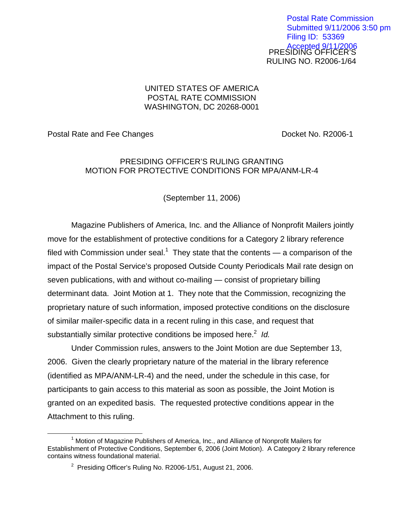PRESIDING OFFICER'S RULING NO. R2006-1/64 Postal Rate Commission Submitted 9/11/2006 3:50 pm Filing ID: 53369 Accepted 9/11/2006

### UNITED STATES OF AMERICA POSTAL RATE COMMISSION WASHINGTON, DC 20268-0001

Postal Rate and Fee Changes **Docket No. R2006-1** 

### PRESIDING OFFICER'S RULING GRANTING MOTION FOR PROTECTIVE CONDITIONS FOR MPA/ANM-LR-4

(September 11, 2006)

Magazine Publishers of America, Inc. and the Alliance of Nonprofit Mailers jointly move for the establishment of protective conditions for a Category 2 library reference filed with Commission under seal.<sup>[1](#page-0-0)</sup> They state that the contents — a comparison of the impact of the Postal Service's proposed Outside County Periodicals Mail rate design on seven publications, with and without co-mailing — consist of proprietary billing determinant data. Joint Motion at 1. They note that the Commission, recognizing the proprietary nature of such information, imposed protective conditions on the disclosure of similar mailer-specific data in a recent ruling in this case, and request that substantially similar protective conditions be imposed here.<sup>[2](#page-0-1)</sup> Id.

Under Commission rules, answers to the Joint Motion are due September 13, 2006. Given the clearly proprietary nature of the material in the library reference (identified as MPA/ANM-LR-4) and the need, under the schedule in this case, for participants to gain access to this material as soon as possible, the Joint Motion is granted on an expedited basis. The requested protective conditions appear in the Attachment to this ruling.

 $\overline{\phantom{a}}$  $1$  Motion of Magazine Publishers of America, Inc., and Alliance of Nonprofit Mailers for Establishment of Protective Conditions, September 6, 2006 (Joint Motion). A Category 2 library reference contains witness foundational material.

<span id="page-0-1"></span><span id="page-0-0"></span> $2$  Presiding Officer's Ruling No. R2006-1/51, August 21, 2006.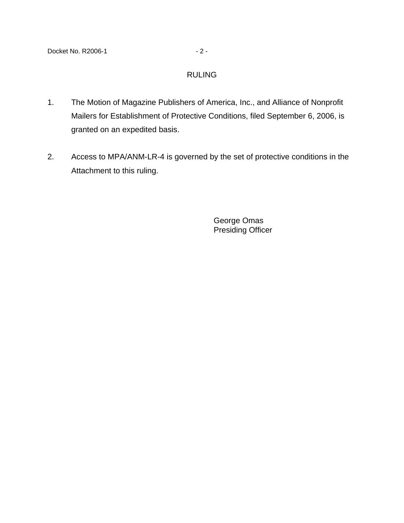# RULING

- 1. The Motion of Magazine Publishers of America, Inc., and Alliance of Nonprofit Mailers for Establishment of Protective Conditions, filed September 6, 2006, is granted on an expedited basis.
- 2. Access to MPA/ANM-LR-4 is governed by the set of protective conditions in the Attachment to this ruling.

George Omas Presiding Officer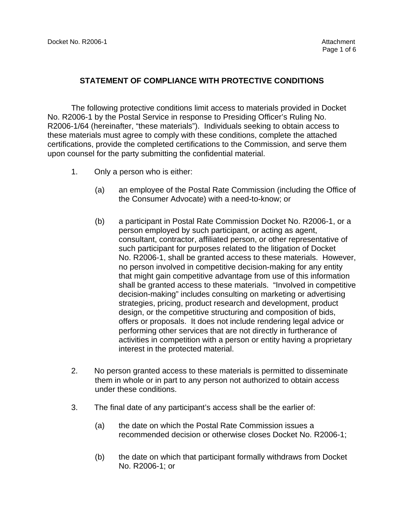### **STATEMENT OF COMPLIANCE WITH PROTECTIVE CONDITIONS**

The following protective conditions limit access to materials provided in Docket No. R2006-1 by the Postal Service in response to Presiding Officer's Ruling No. R2006-1/64 (hereinafter, "these materials"). Individuals seeking to obtain access to these materials must agree to comply with these conditions, complete the attached certifications, provide the completed certifications to the Commission, and serve them upon counsel for the party submitting the confidential material.

- 1. Only a person who is either:
	- (a) an employee of the Postal Rate Commission (including the Office of the Consumer Advocate) with a need-to-know; or
	- (b) a participant in Postal Rate Commission Docket No. R2006-1, or a person employed by such participant, or acting as agent, consultant, contractor, affiliated person, or other representative of such participant for purposes related to the litigation of Docket No. R2006-1, shall be granted access to these materials. However, no person involved in competitive decision-making for any entity that might gain competitive advantage from use of this information shall be granted access to these materials. "Involved in competitive decision-making" includes consulting on marketing or advertising strategies, pricing, product research and development, product design, or the competitive structuring and composition of bids, offers or proposals. It does not include rendering legal advice or performing other services that are not directly in furtherance of activities in competition with a person or entity having a proprietary interest in the protected material.
- 2. No person granted access to these materials is permitted to disseminate them in whole or in part to any person not authorized to obtain access under these conditions.
- 3. The final date of any participant's access shall be the earlier of:
	- (a) the date on which the Postal Rate Commission issues a recommended decision or otherwise closes Docket No. R2006-1;
	- (b) the date on which that participant formally withdraws from Docket No. R2006-1; or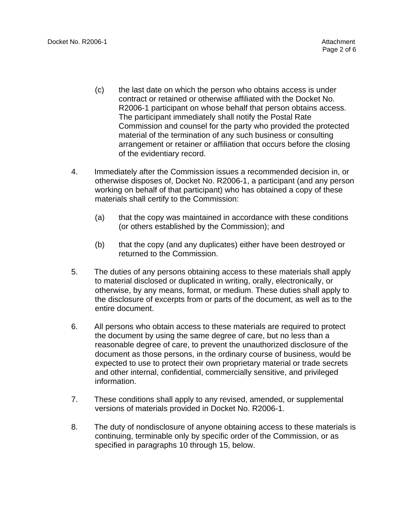- (c) the last date on which the person who obtains access is under contract or retained or otherwise affiliated with the Docket No. R2006-1 participant on whose behalf that person obtains access. The participant immediately shall notify the Postal Rate Commission and counsel for the party who provided the protected material of the termination of any such business or consulting arrangement or retainer or affiliation that occurs before the closing of the evidentiary record.
- 4. Immediately after the Commission issues a recommended decision in, or otherwise disposes of, Docket No. R2006-1, a participant (and any person working on behalf of that participant) who has obtained a copy of these materials shall certify to the Commission:
	- (a) that the copy was maintained in accordance with these conditions (or others established by the Commission); and
	- (b) that the copy (and any duplicates) either have been destroyed or returned to the Commission.
- 5. The duties of any persons obtaining access to these materials shall apply to material disclosed or duplicated in writing, orally, electronically, or otherwise, by any means, format, or medium. These duties shall apply to the disclosure of excerpts from or parts of the document, as well as to the entire document.
- 6. All persons who obtain access to these materials are required to protect the document by using the same degree of care, but no less than a reasonable degree of care, to prevent the unauthorized disclosure of the document as those persons, in the ordinary course of business, would be expected to use to protect their own proprietary material or trade secrets and other internal, confidential, commercially sensitive, and privileged information.
- 7. These conditions shall apply to any revised, amended, or supplemental versions of materials provided in Docket No. R2006-1.
- 8. The duty of nondisclosure of anyone obtaining access to these materials is continuing, terminable only by specific order of the Commission, or as specified in paragraphs 10 through 15, below.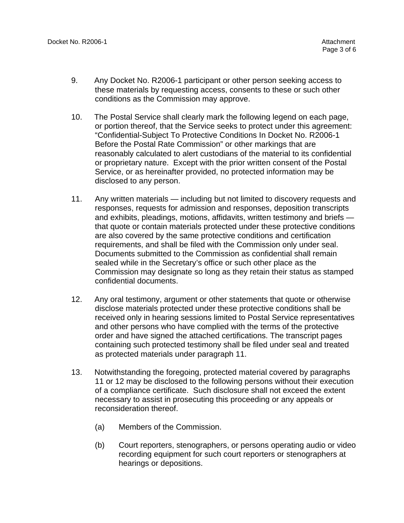- 9. Any Docket No. R2006-1 participant or other person seeking access to these materials by requesting access, consents to these or such other conditions as the Commission may approve.
- 10. The Postal Service shall clearly mark the following legend on each page, or portion thereof, that the Service seeks to protect under this agreement: "Confidential-Subject To Protective Conditions In Docket No. R2006-1 Before the Postal Rate Commission" or other markings that are reasonably calculated to alert custodians of the material to its confidential or proprietary nature. Except with the prior written consent of the Postal Service, or as hereinafter provided, no protected information may be disclosed to any person.
- 11. Any written materials including but not limited to discovery requests and responses, requests for admission and responses, deposition transcripts and exhibits, pleadings, motions, affidavits, written testimony and briefs that quote or contain materials protected under these protective conditions are also covered by the same protective conditions and certification requirements, and shall be filed with the Commission only under seal. Documents submitted to the Commission as confidential shall remain sealed while in the Secretary's office or such other place as the Commission may designate so long as they retain their status as stamped confidential documents.
- 12. Any oral testimony, argument or other statements that quote or otherwise disclose materials protected under these protective conditions shall be received only in hearing sessions limited to Postal Service representatives and other persons who have complied with the terms of the protective order and have signed the attached certifications. The transcript pages containing such protected testimony shall be filed under seal and treated as protected materials under paragraph 11.
- 13. Notwithstanding the foregoing, protected material covered by paragraphs 11 or 12 may be disclosed to the following persons without their execution of a compliance certificate. Such disclosure shall not exceed the extent necessary to assist in prosecuting this proceeding or any appeals or reconsideration thereof.
	- (a) Members of the Commission.
	- (b) Court reporters, stenographers, or persons operating audio or video recording equipment for such court reporters or stenographers at hearings or depositions.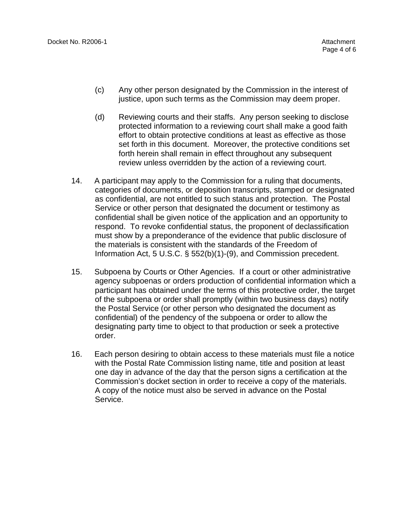- (c) Any other person designated by the Commission in the interest of justice, upon such terms as the Commission may deem proper.
- (d) Reviewing courts and their staffs. Any person seeking to disclose protected information to a reviewing court shall make a good faith effort to obtain protective conditions at least as effective as those set forth in this document. Moreover, the protective conditions set forth herein shall remain in effect throughout any subsequent review unless overridden by the action of a reviewing court.
- 14. A participant may apply to the Commission for a ruling that documents, categories of documents, or deposition transcripts, stamped or designated as confidential, are not entitled to such status and protection. The Postal Service or other person that designated the document or testimony as confidential shall be given notice of the application and an opportunity to respond. To revoke confidential status, the proponent of declassification must show by a preponderance of the evidence that public disclosure of the materials is consistent with the standards of the Freedom of Information Act, 5 U.S.C. § 552(b)(1)-(9), and Commission precedent.
- 15. Subpoena by Courts or Other Agencies. If a court or other administrative agency subpoenas or orders production of confidential information which a participant has obtained under the terms of this protective order, the target of the subpoena or order shall promptly (within two business days) notify the Postal Service (or other person who designated the document as confidential) of the pendency of the subpoena or order to allow the designating party time to object to that production or seek a protective order.
- 16. Each person desiring to obtain access to these materials must file a notice with the Postal Rate Commission listing name, title and position at least one day in advance of the day that the person signs a certification at the Commission's docket section in order to receive a copy of the materials. A copy of the notice must also be served in advance on the Postal Service.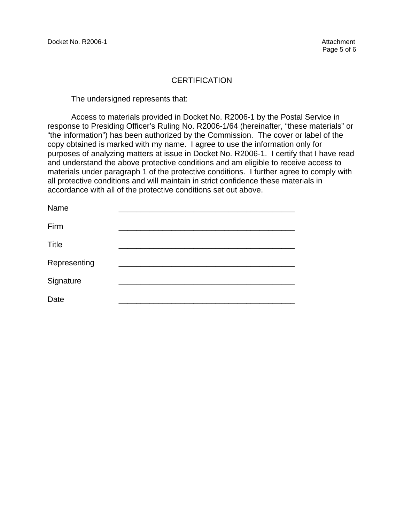#### **CERTIFICATION**

The undersigned represents that:

Access to materials provided in Docket No. R2006-1 by the Postal Service in response to Presiding Officer's Ruling No. R2006-1/64 (hereinafter, "these materials" or "the information") has been authorized by the Commission. The cover or label of the copy obtained is marked with my name. I agree to use the information only for purposes of analyzing matters at issue in Docket No. R2006-1. I certify that I have read and understand the above protective conditions and am eligible to receive access to materials under paragraph 1 of the protective conditions. I further agree to comply with all protective conditions and will maintain in strict confidence these materials in accordance with all of the protective conditions set out above.

| Name         |  |
|--------------|--|
| Firm         |  |
| <b>Title</b> |  |
| Representing |  |
| Signature    |  |
| Date         |  |